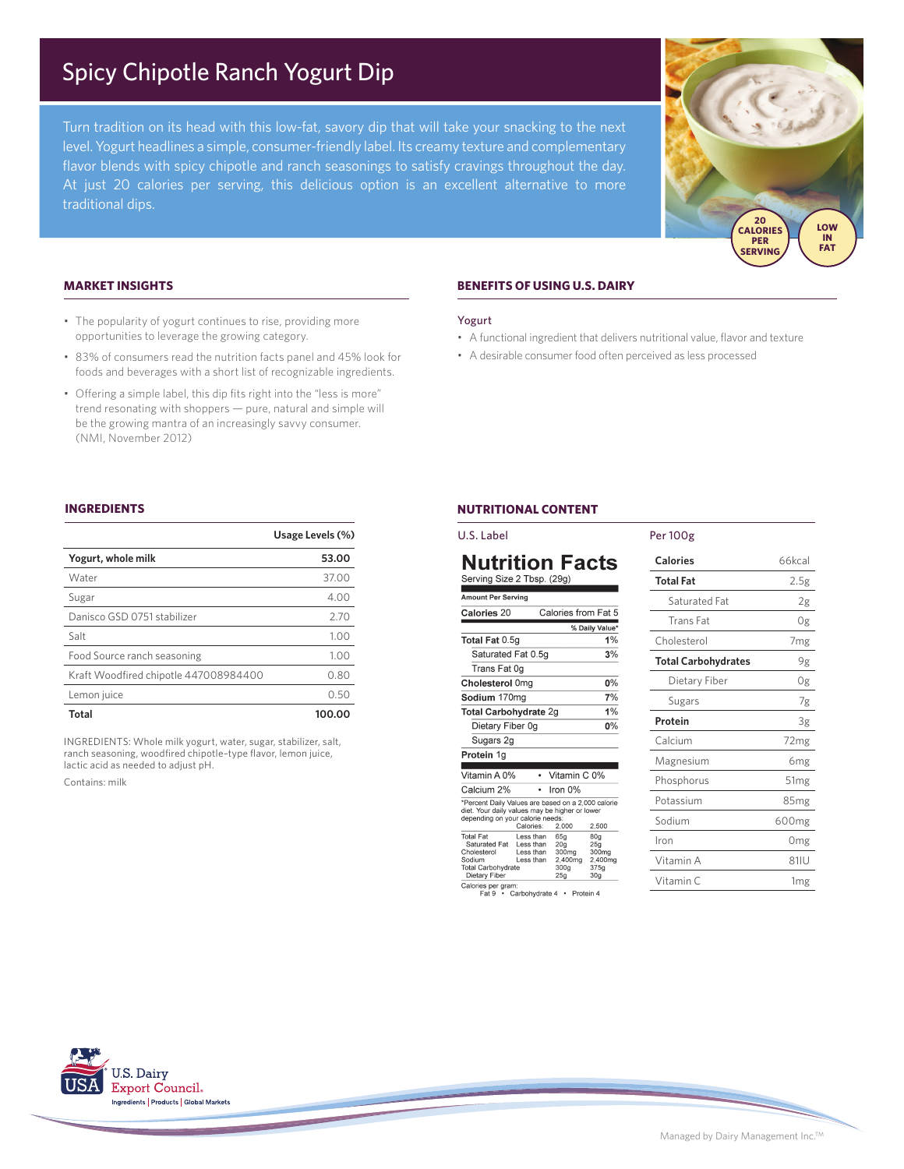# Spicy Chipotle Ranch Yogurt Dip

Turn tradition on its head with this low-fat, savory dip that will take your snacking to the next level. Yogurt headlines a simple, consumer-friendly label. Its creamy texture and complementary flavor blends with spicy chipotle and ranch seasonings to satisfy cravings throughout the day. At just 20 calories per serving, this delicious option is an excellent alternative to more traditional dips.



## **MARKET INSIGHTS**

- The popularity of yogurt continues to rise, providing more opportunities to leverage the growing category.
- 83% of consumers read the nutrition facts panel and 45% look for foods and beverages with a short list of recognizable ingredients.
- Offering a simple label, this dip fits right into the "less is more" trend resonating with shoppers — pure, natural and simple will be the growing mantra of an increasingly savvy consumer. (NMI, November 2012)

# **BENEFITS OF USING U.S. DAIRY**

#### Yogurt

- A functional ingredient that delivers nutritional value, flavor and texture
- A desirable consumer food often perceived as less processed

### **INGREDIENTS**

|                                       | Usage Levels (%) |
|---------------------------------------|------------------|
| Yogurt, whole milk                    | 53.00            |
| Water                                 | 37.00            |
| Sugar                                 | 4.00             |
| Danisco GSD 0751 stabilizer           | 2.70             |
| Salt                                  | 1.00             |
| Food Source ranch seasoning           | 1.00             |
| Kraft Woodfired chipotle 447008984400 | 0.80             |
| Lemon juice                           | 0.50             |
| Total                                 | 100.00           |

INGREDIENTS: Whole milk yogurt, water, sugar, stabilizer, salt, ranch seasoning, woodfired chipotle–type flavor, lemon juice, lactic acid as needed to adjust pH.

Contains: milk

## **NUTRITIONAL CONTENT**

| U.S. Label                                                                                                                               |                                                   |                                                                                   |                                                                       | P |
|------------------------------------------------------------------------------------------------------------------------------------------|---------------------------------------------------|-----------------------------------------------------------------------------------|-----------------------------------------------------------------------|---|
| Nutrition Facts<br>Serving Size 2 Tbsp. (29g)                                                                                            |                                                   |                                                                                   |                                                                       |   |
| <b>Amount Per Serving</b>                                                                                                                |                                                   |                                                                                   |                                                                       |   |
| Calories 20                                                                                                                              |                                                   | Calories from Fat 5                                                               |                                                                       |   |
|                                                                                                                                          |                                                   |                                                                                   | % Daily Value*                                                        |   |
| Total Fat 0.5g                                                                                                                           |                                                   |                                                                                   | 1%                                                                    |   |
| Saturated Fat 0.5g                                                                                                                       |                                                   |                                                                                   | 3%                                                                    |   |
| Trans Fat 0g                                                                                                                             |                                                   |                                                                                   |                                                                       |   |
| Cholesterol 0mg                                                                                                                          |                                                   |                                                                                   | 0%                                                                    |   |
| Sodium 170mg                                                                                                                             |                                                   |                                                                                   | 7%                                                                    |   |
| Total Carbohydrate 2g                                                                                                                    |                                                   |                                                                                   | 1%                                                                    |   |
| Dietary Fiber 0g                                                                                                                         |                                                   |                                                                                   | $0\%$                                                                 |   |
| Sugars 2g                                                                                                                                |                                                   |                                                                                   |                                                                       |   |
| Protein 1g                                                                                                                               |                                                   |                                                                                   |                                                                       |   |
| Vitamin A 0%                                                                                                                             | ٠                                                 | Vitamin C 0%                                                                      |                                                                       |   |
| Calcium 2%                                                                                                                               | ۰                                                 | Iron 0%                                                                           |                                                                       |   |
| *Percent Daily Values are based on a 2,000 calorie<br>diet. Your daily values may be higher or lower<br>depending on your calorie needs: | Calories:                                         | 2,000                                                                             | 2.500                                                                 |   |
| <b>Total Fat</b><br>Saturated Fat<br>Cholesterol<br>Sodium<br>Total Carbohydrate<br>Dietary Fiber                                        | Less than<br>Less than<br>I ess than<br>Less than | 65g<br>20 <sub>a</sub><br>300mg<br>2,400mg<br>300 <sub>g</sub><br>25 <sub>q</sub> | 80 <sub>q</sub><br>25q<br>300mg<br>2,400mg<br>375g<br>30 <sub>q</sub> |   |

Calories per gram:<br>Fat 9 · Carbohydrate 4 · Protein 4

| Per 100g                   |                   |  |
|----------------------------|-------------------|--|
| Calories                   | 66kcal            |  |
| <b>Total Fat</b>           | 2.5g              |  |
| Saturated Fat              | 2g                |  |
| <b>Trans Fat</b>           | 0g                |  |
| Cholesterol                | 7 <sub>mg</sub>   |  |
| <b>Total Carbohydrates</b> | 9g                |  |
| Dietary Fiber              | 0g                |  |
| Sugars                     | 7g                |  |
| Protein                    | 3g                |  |
| Calcium                    | 72mg              |  |
| Magnesium                  | 6mg               |  |
| Phosphorus                 | 51 <sub>mg</sub>  |  |
| Potassium                  | 85 <sub>mg</sub>  |  |
| Sodium                     | 600 <sub>mg</sub> |  |
| Iron                       | Omg               |  |
| Vitamin A                  | 81IU              |  |
| Vitamin C                  | 1 <sub>mg</sub>   |  |

U.S. Dairy Export Council. Ingredients | Products | Global Markets

Managed by Dairy Management Inc.TM